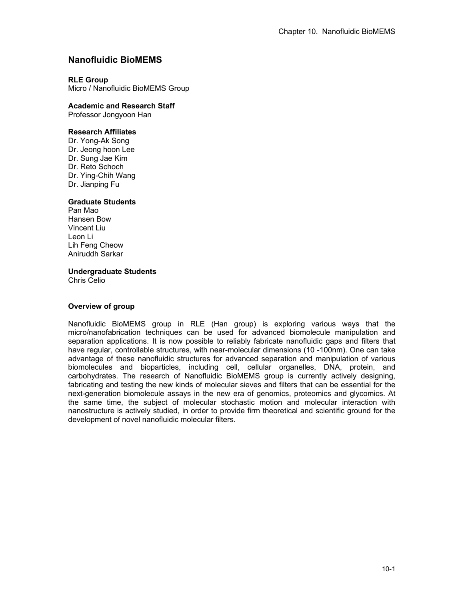# **Nanofluidic BioMEMS**

## **RLE Group**

Micro / Nanofluidic BioMEMS Group

## **Academic and Research Staff**

Professor Jongyoon Han

## **Research Affiliates**

Dr. Yong-Ak Song Dr. Jeong hoon Lee Dr. Sung Jae Kim Dr. Reto Schoch Dr. Ying-Chih Wang Dr. Jianping Fu

## **Graduate Students**

Pan Mao Hansen Bow Vincent Liu Leon Li Lih Feng Cheow Aniruddh Sarkar

### **Undergraduate Students**

Chris Celio

### **Overview of group**

Nanofluidic BioMEMS group in RLE (Han group) is exploring various ways that the micro/nanofabrication techniques can be used for advanced biomolecule manipulation and separation applications. It is now possible to reliably fabricate nanofluidic gaps and filters that have regular, controllable structures, with near-molecular dimensions (10 -100nm). One can take advantage of these nanofluidic structures for advanced separation and manipulation of various biomolecules and bioparticles, including cell, cellular organelles, DNA, protein, and carbohydrates. The research of Nanofluidic BioMEMS group is currently actively designing, fabricating and testing the new kinds of molecular sieves and filters that can be essential for the next-generation biomolecule assays in the new era of genomics, proteomics and glycomics. At the same time, the subject of molecular stochastic motion and molecular interaction with nanostructure is actively studied, in order to provide firm theoretical and scientific ground for the development of novel nanofluidic molecular filters.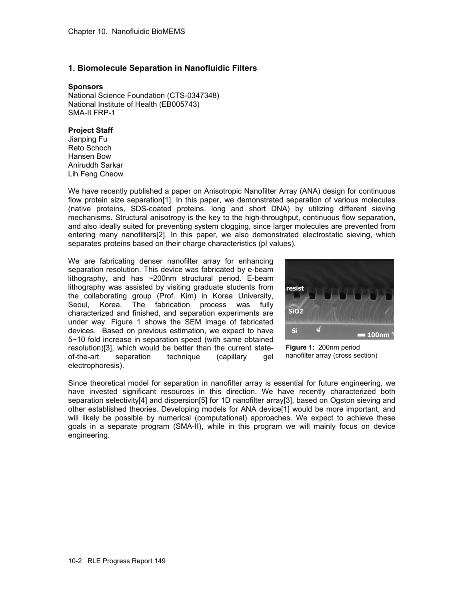## **1. Biomolecule Separation in Nanofluidic Filters**

### **Sponsors**

National Science Foundation (CTS-0347348) National Institute of Health (EB005743) SMA-II FRP-1

### **Project Staff**

Jianping Fu Reto Schoch Hansen Bow Aniruddh Sarkar Lih Feng Cheow

We have recently published a paper on Anisotropic Nanofilter Array (ANA) design for continuous flow protein size separation[1]. In this paper, we demonstrated separation of various molecules (native proteins, SDS-coated proteins, long and short DNA) by utilizing different sieving mechanisms. Structural anisotropy is the key to the high-throughput, continuous flow separation, and also ideally suited for preventing system clogging, since larger molecules are prevented from entering many nanofilters[2]. In this paper, we also demonstrated electrostatic sieving, which separates proteins based on their charge characteristics (pI values).

We are fabricating denser nanofilter array for enhancing separation resolution. This device was fabricated by e-beam lithography, and has ~200nm structural period. E-beam lithography was assisted by visiting graduate students from the collaborating group (Prof. Kim) in Korea University, Seoul, Korea. The fabrication process was fully characterized and finished, and separation experiments are under way. Figure 1 shows the SEM image of fabricated devices. Based on previous estimation, we expect to have 5~10 fold increase in separation speed (with same obtained resolution)[3], which would be better than the current stateof-the-art separation technique (capillary gel electrophoresis).



**Figure 1:** 200nm period nanofilter array (cross section)

Since theoretical model for separation in nanofilter array is essential for future engineering, we have invested significant resources in this direction. We have recently characterized both separation selectivity[4] and dispersion[5] for 1D nanofilter array[3], based on Ogston sieving and other established theories. Developing models for ANA device[1] would be more important, and will likely be possible by numerical (computational) approaches. We expect to achieve these goals in a separate program (SMA-II), while in this program we will mainly focus on device engineering.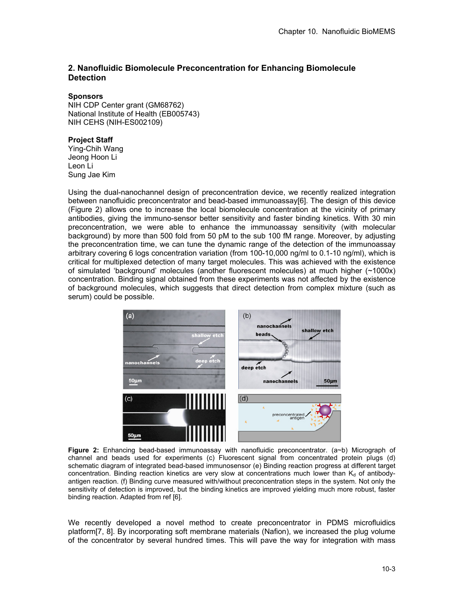## **2. Nanofluidic Biomolecule Preconcentration for Enhancing Biomolecule Detection**

#### **Sponsors**

NIH CDP Center grant (GM68762) National Institute of Health (EB005743) NIH CEHS (NIH-ES002109)

#### **Project Staff**

Ying-Chih Wang Jeong Hoon Li Leon Li Sung Jae Kim

Using the dual-nanochannel design of preconcentration device, we recently realized integration between nanofluidic preconcentrator and bead-based immunoassay[6]. The design of this device (Figure 2) allows one to increase the local biomolecule concentration at the vicinity of primary antibodies, giving the immuno-sensor better sensitivity and faster binding kinetics. With 30 min preconcentration, we were able to enhance the immunoassay sensitivity (with molecular background) by more than 500 fold from 50 pM to the sub 100 fM range. Moreover, by adjusting the preconcentration time, we can tune the dynamic range of the detection of the immunoassay arbitrary covering 6 logs concentration variation (from 100-10,000 ng/ml to 0.1-10 ng/ml), which is critical for multiplexed detection of many target molecules. This was achieved with the existence of simulated 'background' molecules (another fluorescent molecules) at much higher (~1000x) concentration. Binding signal obtained from these experiments was not affected by the existence of background molecules, which suggests that direct detection from complex mixture (such as serum) could be possible.



**Figure 2:** Enhancing bead-based immunoassay with nanofluidic preconcentrator. (a~b) Micrograph of channel and beads used for experiments (c) Fluorescent signal from concentrated protein plugs (d) schematic diagram of integrated bead-based immunosensor (e) Binding reaction progress at different target concentration. Binding reaction kinetics are very slow at concentrations much lower than  $K_d$  of antibodyantigen reaction. (f) Binding curve measured with/without preconcentration steps in the system. Not only the sensitivity of detection is improved, but the binding kinetics are improved yielding much more robust, faster binding reaction. Adapted from ref [6].

We recently developed a novel method to create preconcentrator in PDMS microfluidics platform[7, 8]. By incorporating soft membrane materials (Nafion), we increased the plug volume of the concentrator by several hundred times. This will pave the way for integration with mass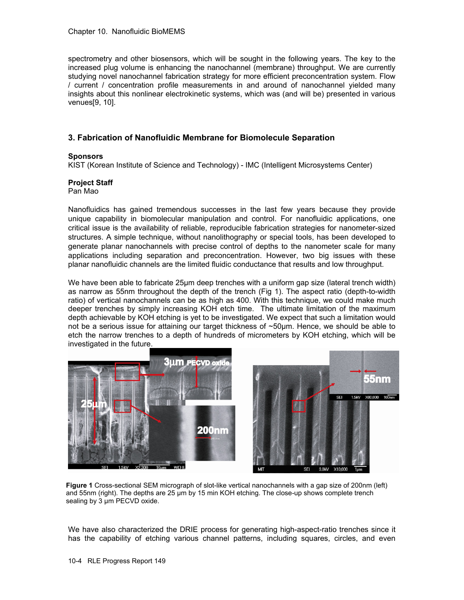spectrometry and other biosensors, which will be sought in the following years. The key to the increased plug volume is enhancing the nanochannel (membrane) throughput. We are currently studying novel nanochannel fabrication strategy for more efficient preconcentration system. Flow / current / concentration profile measurements in and around of nanochannel yielded many insights about this nonlinear electrokinetic systems, which was (and will be) presented in various venues[9, 10].

# **3. Fabrication of Nanofluidic Membrane for Biomolecule Separation**

### **Sponsors**

KIST (Korean Institute of Science and Technology) - IMC (Intelligent Microsystems Center)

## **Project Staff**

Pan Mao

Nanofluidics has gained tremendous successes in the last few years because they provide unique capability in biomolecular manipulation and control. For nanofluidic applications, one critical issue is the availability of reliable, reproducible fabrication strategies for nanometer-sized structures. A simple technique, without nanolithography or special tools, has been developed to generate planar nanochannels with precise control of depths to the nanometer scale for many applications including separation and preconcentration. However, two big issues with these planar nanofluidic channels are the limited fluidic conductance that results and low throughput.

We have been able to fabricate 25μm deep trenches with a uniform gap size (lateral trench width) as narrow as 55nm throughout the depth of the trench (Fig 1). The aspect ratio (depth-to-width ratio) of vertical nanochannels can be as high as 400. With this technique, we could make much deeper trenches by simply increasing KOH etch time. The ultimate limitation of the maximum depth achievable by KOH etching is yet to be investigated. We expect that such a limitation would not be a serious issue for attaining our target thickness of ~50μm. Hence, we should be able to etch the narrow trenches to a depth of hundreds of micrometers by KOH etching, which will be investigated in the future.



**Figure 1** Cross-sectional SEM micrograph of slot-like vertical nanochannels with a gap size of 200nm (left) and 55nm (right). The depths are 25 μm by 15 min KOH etching. The close-up shows complete trench sealing by 3 μm PECVD oxide.

We have also characterized the DRIE process for generating high-aspect-ratio trenches since it has the capability of etching various channel patterns, including squares, circles, and even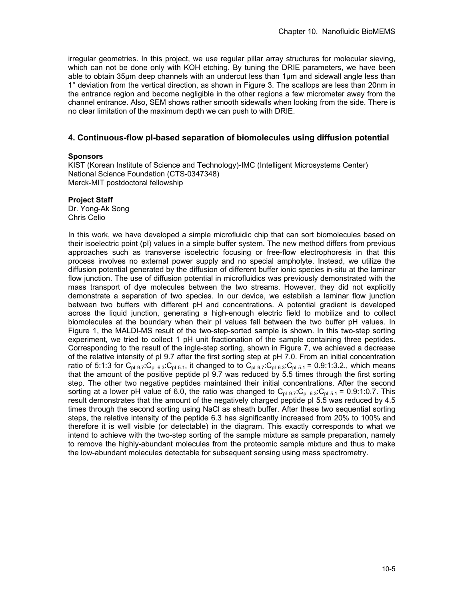irregular geometries. In this project, we use regular pillar array structures for molecular sieving, which can not be done only with KOH etching. By tuning the DRIE parameters, we have been able to obtain 35μm deep channels with an undercut less than 1μm and sidewall angle less than 1° deviation from the vertical direction, as shown in Figure 3. The scallops are less than 20nm in the entrance region and become negligible in the other regions a few micrometer away from the channel entrance. Also, SEM shows rather smooth sidewalls when looking from the side. There is no clear limitation of the maximum depth we can push to with DRIE.

## **4. Continuous-flow pI-based separation of biomolecules using diffusion potential**

#### **Sponsors**

KIST (Korean Institute of Science and Technology)-IMC (Intelligent Microsystems Center) National Science Foundation (CTS-0347348) Merck-MIT postdoctoral fellowship

### **Project Staff**

Dr. Yong-Ak Song Chris Celio

In this work, we have developed a simple microfluidic chip that can sort biomolecules based on their isoelectric point (pI) values in a simple buffer system. The new method differs from previous approaches such as transverse isoelectric focusing or free-flow electrophoresis in that this process involves no external power supply and no special ampholyte. Instead, we utilize the diffusion potential generated by the diffusion of different buffer ionic species in-situ at the laminar flow junction. The use of diffusion potential in microfluidics was previously demonstrated with the mass transport of dye molecules between the two streams. However, they did not explicitly demonstrate a separation of two species. In our device, we establish a laminar flow junction between two buffers with different pH and concentrations. A potential gradient is developed across the liquid junction, generating a high-enough electric field to mobilize and to collect biomolecules at the boundary when their pI values fall between the two buffer pH values. In Figure 1, the MALDI-MS result of the two-step-sorted sample is shown. In this two-step sorting experiment, we tried to collect 1 pH unit fractionation of the sample containing three peptides. Corresponding to the result of the ingle-step sorting, shown in Figure 7, we achieved a decrease of the relative intensity of pI 9.7 after the first sorting step at pH 7.0. From an initial concentration ratio of 5:1:3 for C<sub>pI 9.7</sub>:C<sub>pI 6.3</sub>:C<sub>pI 5.1</sub>, it changed to to C<sub>pI 9.7</sub>:C<sub>pI 6.3</sub>:C<sub>pI 5.1</sub> = 0.9:1:3.2., which means that the amount of the positive peptide pI 9.7 was reduced by 5.5 times through the first sorting step. The other two negative peptides maintained their initial concentrations. After the second sorting at a lower pH value of 6.0, the ratio was changed to  $C_{p1,9,7}$ : $C_{p1,6,3}$ : $C_{p1,5,1}$  = 0.9:1:0.7. This result demonstrates that the amount of the negatively charged peptide pI 5.5 was reduced by 4.5 times through the second sorting using NaCl as sheath buffer. After these two sequential sorting steps, the relative intensity of the peptide 6.3 has significantly increased from 20% to 100% and therefore it is well visible (or detectable) in the diagram. This exactly corresponds to what we intend to achieve with the two-step sorting of the sample mixture as sample preparation, namely to remove the highly-abundant molecules from the proteomic sample mixture and thus to make the low-abundant molecules detectable for subsequent sensing using mass spectrometry.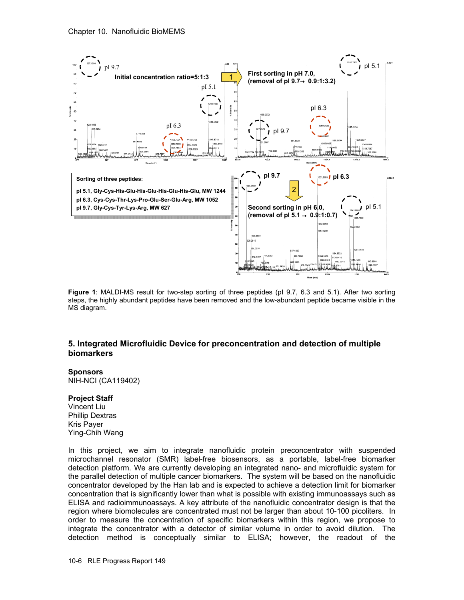

**Figure 1**: MALDI-MS result for two-step sorting of three peptides (pI 9.7, 6.3 and 5.1). After two sorting steps, the highly abundant peptides have been removed and the low-abundant peptide became visible in the MS diagram.

## **5. Integrated Microfluidic Device for preconcentration and detection of multiple biomarkers**

#### **Sponsors**

NIH-NCI (CA119402)

#### **Project Staff**

Vincent Liu Phillip Dextras Kris Payer Ying-Chih Wang

In this project, we aim to integrate nanofluidic protein preconcentrator with suspended microchannel resonator (SMR) label-free biosensors, as a portable, label-free biomarker detection platform. We are currently developing an integrated nano- and microfluidic system for the parallel detection of multiple cancer biomarkers. The system will be based on the nanofluidic concentrator developed by the Han lab and is expected to achieve a detection limit for biomarker concentration that is significantly lower than what is possible with existing immunoassays such as ELISA and radioimmunoassays. A key attribute of the nanofluidic concentrator design is that the region where biomolecules are concentrated must not be larger than about 10-100 picoliters. In order to measure the concentration of specific biomarkers within this region, we propose to integrate the concentrator with a detector of similar volume in order to avoid dilution. The detection method is conceptually similar to ELISA; however, the readout of the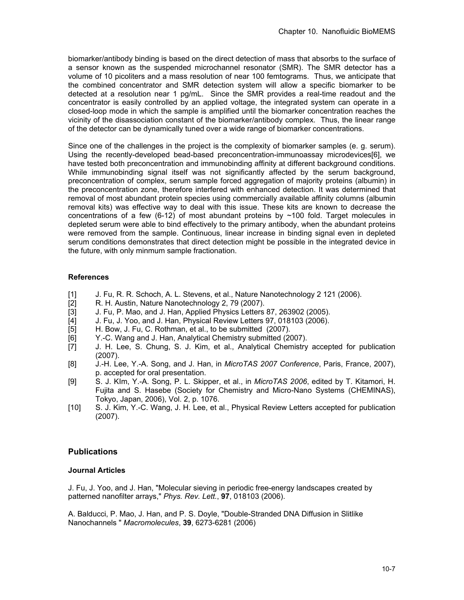biomarker/antibody binding is based on the direct detection of mass that absorbs to the surface of a sensor known as the suspended microchannel resonator (SMR). The SMR detector has a volume of 10 picoliters and a mass resolution of near 100 femtograms. Thus, we anticipate that the combined concentrator and SMR detection system will allow a specific biomarker to be detected at a resolution near 1 pg/mL. Since the SMR provides a real-time readout and the concentrator is easily controlled by an applied voltage, the integrated system can operate in a closed-loop mode in which the sample is amplified until the biomarker concentration reaches the vicinity of the disassociation constant of the biomarker/antibody complex. Thus, the linear range of the detector can be dynamically tuned over a wide range of biomarker concentrations.

Since one of the challenges in the project is the complexity of biomarker samples (e. g. serum). Using the recently-developed bead-based preconcentration-immunoassay microdevices[6], we have tested both preconcentration and immunobinding affinity at different background conditions. While immunobinding signal itself was not significantly affected by the serum background, preconcentration of complex, serum sample forced aggregation of majority proteins (albumin) in the preconcentration zone, therefore interfered with enhanced detection. It was determined that removal of most abundant protein species using commercially available affinity columns (albumin removal kits) was effective way to deal with this issue. These kits are known to decrease the concentrations of a few  $(6-12)$  of most abundant proteins by  $\sim$  100 fold. Target molecules in depleted serum were able to bind effectively to the primary antibody, when the abundant proteins were removed from the sample. Continuous, linear increase in binding signal even in depleted serum conditions demonstrates that direct detection might be possible in the integrated device in the future, with only minmum sample fractionation.

# **References**

- [1] J. Fu, R. R. Schoch, A. L. Stevens, et al., Nature Nanotechnology 2 121 (2006).<br>[2] R. H. Austin, Nature Nanotechnology 2, 79 (2007).
- R. H. Austin, Nature Nanotechnology 2, 79 (2007).
- [3] J. Fu, P. Mao, and J. Han, Applied Physics Letters 87, 263902 (2005).
- [4] J. Fu, J. Yoo, and J. Han, Physical Review Letters 97, 018103 (2006).<br>[5] H. Bow, J. Fu, C. Rothman, et al., to be submitted (2007).
- H. Bow, J. Fu, C. Rothman, et al., to be submitted (2007).
- 
- [6] Y.-C. Wang and J. Han, Analytical Chemistry submitted (2007).<br>[7] J. H. Lee, S. Chung, S. J. Kim, et al., Analytical Chemistry J. H. Lee, S. Chung, S. J. Kim, et al., Analytical Chemistry accepted for publication (2007).
- [8] J.-H. Lee, Y.-A. Song, and J. Han, in *MicroTAS 2007 Conference*, Paris, France, 2007), p. accepted for oral presentation.
- [9] S. J. KIm, Y.-A. Song, P. L. Skipper, et al., in *MicroTAS 2006*, edited by T. Kitamori, H. Fujita and S. Hasebe (Society for Chemistry and Micro-Nano Systems (CHEMINAS), Tokyo, Japan, 2006), Vol. 2, p. 1076.
- [10] S. J. Kim, Y.-C. Wang, J. H. Lee, et al., Physical Review Letters accepted for publication (2007).

# **Publications**

## **Journal Articles**

J. Fu, J. Yoo, and J. Han, "Molecular sieving in periodic free-energy landscapes created by patterned nanofilter arrays," *Phys. Rev. Lett.*, **97**, 018103 (2006).

A. Balducci, P. Mao, J. Han, and P. S. Doyle, "Double-Stranded DNA Diffusion in Slitlike Nanochannels " *Macromolecules*, **39**, 6273-6281 (2006)